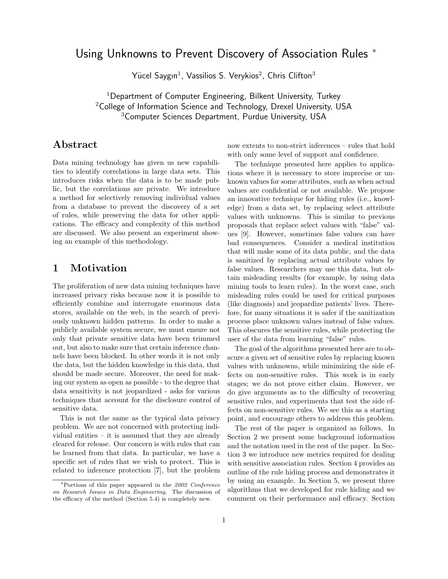# Using Unknowns to Prevent Discovery of Association Rules <sup>∗</sup>

Yücel Saygın $^1$ , Vassilios S. Verykios $^2$ , Chris Clifton $^3$ 

 $1$ Department of Computer Engineering, Bilkent University, Turkey <sup>2</sup>College of Information Science and Technology, Drexel University, USA <sup>3</sup>Computer Sciences Department, Purdue University, USA

# Abstract

Data mining technology has given us new capabilities to identify correlations in large data sets. This introduces risks when the data is to be made public, but the correlations are private. We introduce a method for selectively removing individual values from a database to prevent the discovery of a set of rules, while preserving the data for other applications. The efficacy and complexity of this method are discussed. We also present an experiment showing an example of this methodology.

### 1 Motivation

The proliferation of new data mining techniques have increased privacy risks because now it is possible to efficiently combine and interrogate enormous data stores, available on the web, in the search of previously unknown hidden patterns. In order to make a publicly available system secure, we must ensure not only that private sensitive data have been trimmed out, but also to make sure that certain inference channels have been blocked. In other words it is not only the data, but the hidden knowledge in this data, that should be made secure. Moreover, the need for making our system as open as possible - to the degree that data sensitivity is not jeopardized - asks for various techniques that account for the disclosure control of sensitive data.

This is not the same as the typical data privacy problem. We are not concerned with protecting individual entities – it is assumed that they are already cleared for release. Our concern is with rules that can be learned from that data. In particular, we have a specific set of rules that we wish to protect. This is related to inference protection [7], but the problem now extents to non-strict inferences – rules that hold with only some level of support and confidence.

The technique presented here applies to applications where it is necessary to store imprecise or unknown values for some attributes, such as when actual values are confidential or not available. We propose an innovative technique for hiding rules (i.e., knowledge) from a data set, by replacing select attribute values with unknowns. This is similar to previous proposals that replace select values with "false" values [9]. However, sometimes false values can have bad consequences. Consider a medical institution that will make some of its data public, and the data is sanitized by replacing actual attribute values by false values. Researchers may use this data, but obtain misleading results (for example, by using data mining tools to learn rules). In the worst case, such misleading rules could be used for critical purposes (like diagnosis) and jeopardize patients' lives. Therefore, for many situations it is safer if the sanitization process place unknown values instead of false values. This obscures the sensitive rules, while protecting the user of the data from learning "false" rules.

The goal of the algorithms presented here are to obscure a given set of sensitive rules by replacing known values with unknowns, while minimizing the side effects on non-sensitive rules. This work is in early stages; we do not prove either claim. However, we do give arguments as to the difficulty of recovering sensitive rules, and experiments that test the side effects on non-sensitive rules. We see this as a starting point, and encourage others to address this problem.

The rest of the paper is organized as follows. In Section 2 we present some background information and the notation used in the rest of the paper. In Section 3 we introduce new metrics required for dealing with sensitive association rules. Section 4 provides an outline of the rule hiding process and demonstrates it by using an example. In Section 5, we present three algorithms that we developed for rule hiding and we comment on their performance and efficacy. Section

<sup>∗</sup>Portions of this paper appeared in the 2002 Conference on Research Issues in Data Engineering. The discussion of the efficacy of the method (Section 5.4) is completely new.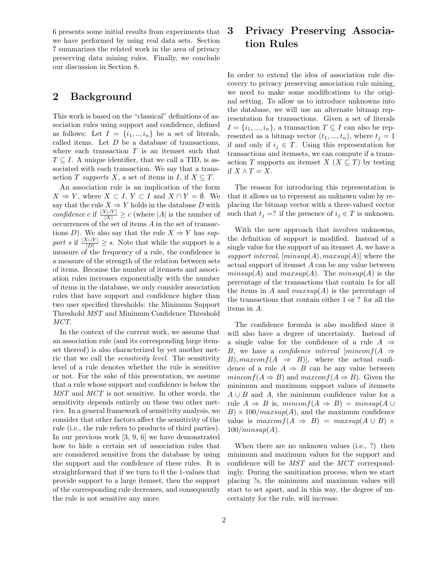6 presents some initial results from experiments that we have performed by using real data sets. Section 7 summarizes the related work in the area of privacy preserving data mining rules. Finally, we conclude our discussion in Section 8.

## 2 Background

This work is based on the "classical" definitions of association rules using support and confidence, defined as follows: Let  $I = \{i_1, ..., i_n\}$  be a set of literals, called items. Let  $D$  be a database of transactions, where each transaction  $T$  is an itemset such that  $T \subseteq I$ . A unique identifier, that we call a TID, is associated with each transaction. We say that a transaction T supports X, a set of items in I, if  $X \subseteq T$ .

An association rule is an implication of the form  $X \Rightarrow Y$ , where  $X \subset I$ ,  $Y \subset I$  and  $X \cap Y = \emptyset$ . We say that the rule  $X \Rightarrow Y$  holds in the database D with confidence c if  $\frac{|X \cup Y|}{|X|} \geq c$  (where |A| is the number of occurrences of the set of items A in the set of transactions D). We also say that the rule  $X \Rightarrow Y$  has support s if  $\frac{|X \cup Y|}{|D|} \geq s$ . Note that while the support is a measure of the frequency of a rule, the confidence is a measure of the strength of the relation between sets of items. Because the number of itemsets and association rules increases exponentially with the number of items in the database, we only consider association rules that have support and confidence higher than two user specified thresholds: the Minimum Support Threshold MST and Minimum Confidence Threshold MCT.

In the context of the current work, we assume that an association rule (and its corresponding large itemset thereof) is also characterized by yet another metric that we call the sensitivity level. The sensitivity level of a rule denotes whether the rule is sensitive or not. For the sake of this presentation, we assume that a rule whose support and confidence is below the MST and MCT is not sensitive. In other words, the sensitivity depends entirely on these two other metrics. In a general framework of sensitivity analysis, we consider that other factors affect the sensitivity of the rule (i.e., the rule refers to products of third parties). In our previous work [3, 9, 6] we have demonstrated how to hide a certain set of association rules that are considered sensitive from the database by using the support and the confidence of these rules. It is straightforward that if we turn to 0 the 1-values that provide support to a large itemset, then the support of the corresponding rule decreases, and consequently the rule is not sensitive any more.

# 3 Privacy Preserving Association Rules

In order to extend the idea of association rule discovery to privacy preserving association rule mining, we need to make some modifications to the original setting. To allow us to introduce unknowns into the database, we will use an alternate bitmap representation for transactions. Given a set of literals  $I = \{i_1, ..., i_n\}$ , a transaction  $T \subseteq I$  can also be represented as a bitmap vector  $(t_1, ..., t_n)$ , where  $t_j = 1$ if and only if  $i_j \in T$ . Using this representation for transactions and itemsets, we can compute if a transaction T supports an itemset  $X$  ( $X \subseteq T$ ) by testing if  $X \wedge T = X$ .

The reason for introducing this representation is that it allows us to represent an unknown value by replacing the bitmap vector with a three-valued vector such that  $t_i =$ ? if the presence of  $i_j \in T$  is unknown.

With the new approach that involves unknowns, the definition of support is modified. Instead of a single value for the support of an itemset  $A$ , we have a support interval,  $(minsup(A), maxsup(A)]$  where the actual support of itemset A can be any value between  $minsup(A)$  and  $maxsup(A)$ . The  $minsup(A)$  is the percentage of the transactions that contain 1s for all the items in A and  $maxsup(A)$  is the percentage of the transactions that contain either 1 or ? for all the items in A.

The confidence formula is also modified since it will also have a degree of uncertainty. Instead of a single value for the confidence of a rule  $A \Rightarrow$ B, we have a *confidence interval*  $\left[\text{minconf}(A \right] \rightarrow$ B),  $maxconf(A \Rightarrow B)$ , where the actual confidence of a rule  $A \Rightarrow B$  can be any value between  $minconf(A \Rightarrow B)$  and  $maxconf(A \Rightarrow B)$ . Given the minimum and maximum support values of itemsets  $A \cup B$  and A, the minimum confidence value for a rule  $A \Rightarrow B$  is, mincon  $f(A \Rightarrow B) = minsup(A \cup$  $B) \times 100 / maxsup(A)$ , and the maximum confidence value is  $maxconf(A \Rightarrow B) = maxsup(A \cup B) \times$  $100/minsup(A)$ .

When there are no unknown values (i.e., ?) then minimum and maximum values for the support and confidence will be MST and the MCT correspondingly. During the sanitization process, when we start placing ?s, the minimum and maximum values will start to set apart, and in this way, the degree of uncertainty for the rule, will increase.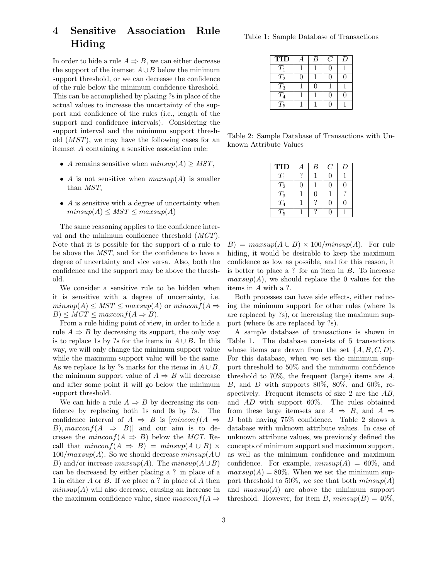# 4 Sensitive Association Rule Hiding

In order to hide a rule  $A \Rightarrow B$ , we can either decrease the support of the itemset  $A\cup B$  below the minimum support threshold, or we can decrease the confidence of the rule below the minimum confidence threshold. This can be accomplished by placing ?s in place of the actual values to increase the uncertainty of the support and confidence of the rules (i.e., length of the support and confidence intervals). Considering the support interval and the minimum support threshold  $(MST)$ , we may have the following cases for an itemset A containing a sensitive association rule:

- A remains sensitive when  $minsup(A) \geq MST$ ,
- A is not sensitive when  $maxsup(A)$  is smaller than MST,
- $\bullet$  A is sensitive with a degree of uncertainty when  $minsup(A) \leq MST \leq maxsup(A)$

The same reasoning applies to the confidence interval and the minimum confidence threshold (MCT). Note that it is possible for the support of a rule to be above the MST, and for the confidence to have a degree of uncertainty and vice versa. Also, both the confidence and the support may be above the threshold.

We consider a sensitive rule to be hidden when it is sensitive with a degree of uncertainty, i.e.  $minsup(A) \leq MST \leq maxsup(A)$  or  $minconf(A \Rightarrow$  $B) \leq MCT \leq maxconf(A \Rightarrow B).$ 

From a rule hiding point of view, in order to hide a rule  $A \Rightarrow B$  by decreasing its support, the only way is to replace 1s by ?s for the items in  $A \cup B$ . In this way, we will only change the minimum support value while the maximum support value will be the same. As we replace 1s by ?s marks for the items in  $A \cup B$ , the minimum support value of  $A \Rightarrow B$  will decrease and after some point it will go below the minimum support threshold.

We can hide a rule  $A \Rightarrow B$  by decreasing its confidence by replacing both 1s and 0s by ?s. The confidence interval of  $A \Rightarrow B$  is  $\left[ minconf(A \Rightarrow A)\right]$ B),  $maxconf(A \Rightarrow B)$  and our aim is to decrease the  $minconf(A \Rightarrow B)$  below the MCT. Recall that  $minconf(A \Rightarrow B) = minsup(A \cup B) \times$  $100/maxsup(A)$ . So we should decrease  $minsup(A \cup$ B) and/or increase  $maxsup(A)$ . The  $minsup(A \cup B)$ can be decreased by either placing a ? in place of a 1 in either A or B. If we place a ? in place of A then  $minsup(A)$  will also decrease, causing an increase in the maximum confidence value, since  $maxconf(A \Rightarrow$ 

Table 1: Sample Database of Transactions

| <b>TID</b> | В | O | I) |
|------------|---|---|----|
| $T_1$      |   |   |    |
| $T_2$      |   |   |    |
| $T_3$      |   |   |    |
| $T_4$      |   |   |    |
| $T_5$      |   |   |    |

Table 2: Sample Database of Transactions with Unknown Attribute Values

| <b>TID</b> | B | Ι. |
|------------|---|----|
| $T_1$      |   |    |
| $T_2$      |   |    |
| $T_3$      |   |    |
| $T_4$      |   |    |
| $T_5$      |   |    |

 $B) = maxsup(A \cup B) \times 100/minsup(A)$ . For rule hiding, it would be desirable to keep the maximum confidence as low as possible, and for this reason, it is better to place a ? for an item in B. To increase  $maxsup(A)$ , we should replace the 0 values for the items in A with a ?.

Both processes can have side effects, either reducing the minimum support for other rules (where 1s are replaced by ?s), or increasing the maximum support (where 0s are replaced by ?s).

A sample database of transactions is shown in Table 1. The database consists of 5 transactions whose items are drawn from the set  $\{A, B, C, D\}.$ For this database, when we set the minimum support threshold to 50% and the minimum confidence threshold to 70%, the frequent (large) items are  $A$ , B, and D with supports  $80\%$ ,  $80\%$ , and  $60\%$ , respectively. Frequent itemsets of size 2 are the AB, and AD with support 60%. The rules obtained from these large itemsets are  $A \Rightarrow B$ , and  $A \Rightarrow$ D both having 75% confidence. Table 2 shows a database with unknown attribute values. In case of unknown attribute values, we previously defined the concepts of minimum support and maximum support, as well as the minimum confidence and maximum confidence. For example,  $minsup(A) = 60\%$ , and  $maxsup(A) = 80\%$ . When we set the minimum support threshold to 50%, we see that both  $minsup(A)$ and  $maxsup(A)$  are above the minimum support threshold. However, for item B,  $minsup(B) = 40\%,$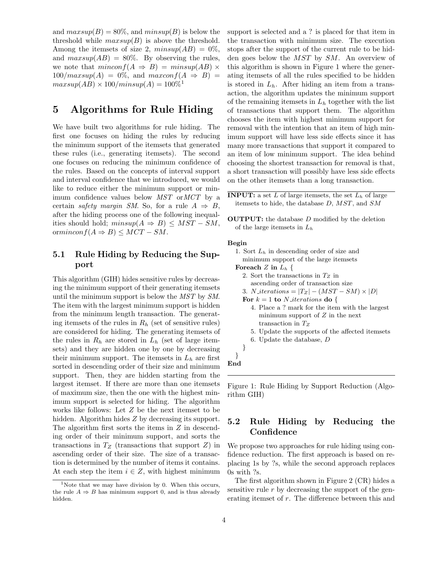and  $maxsup(B) = 80\%$ , and  $minsup(B)$  is below the threshold while  $maxsup(B)$  is above the threshold. Among the itemsets of size 2,  $minsup(AB) = 0\%$ , and  $maxsup(AB) = 80\%$ . By observing the rules, we note that  $minconf(A \Rightarrow B) = minsup(AB) \times$  $100/maxsup(A) = 0\%$ , and  $maxconf(A \Rightarrow B) =$  $maxsup(AB) \times 100/minsup(A) = 100\%$ <sup>1</sup>

# 5 Algorithms for Rule Hiding

We have built two algorithms for rule hiding. The first one focuses on hiding the rules by reducing the minimum support of the itemsets that generated these rules (i.e., generating itemsets). The second one focuses on reducing the minimum confidence of the rules. Based on the concepts of interval support and interval confidence that we introduced, we would like to reduce either the minimum support or minimum confidence values below MST orMCT by a certain safety margin SM. So, for a rule  $A \Rightarrow B$ , after the hiding process one of the following inequalities should hold;  $minsup(A \Rightarrow B) \leq MST - SM$ , ormincon $f(A \Rightarrow B) \leq MCT - SM$ .

#### 5.1 Rule Hiding by Reducing the Support

This algorithm (GIH) hides sensitive rules by decreasing the minimum support of their generating itemsets until the minimum support is below the MST by SM. The item with the largest minimum support is hidden from the minimum length transaction. The generating itemsets of the rules in  $R_h$  (set of sensitive rules) are considered for hiding. The generating itemsets of the rules in  $R_h$  are stored in  $L_h$  (set of large itemsets) and they are hidden one by one by decreasing their minimum support. The itemsets in  $L<sub>h</sub>$  are first sorted in descending order of their size and minimum support. Then, they are hidden starting from the largest itemset. If there are more than one itemsets of maximum size, then the one with the highest minimum support is selected for hiding. The algorithm works like follows: Let Z be the next itemset to be hidden. Algorithm hides Z by decreasing its support. The algorithm first sorts the items in Z in descending order of their minimum support, and sorts the transactions in  $T_Z$  (transactions that support  $Z$ ) in ascending order of their size. The size of a transaction is determined by the number of items it contains. At each step the item  $i \in \mathbb{Z}$ , with highest minimum

support is selected and a ? is placed for that item in the transaction with minimum size. The execution stops after the support of the current rule to be hidden goes below the MST by SM. An overview of this algorithm is shown in Figure 1 where the generating itemsets of all the rules specified to be hidden is stored in  $L<sub>h</sub>$ . After hiding an item from a transaction, the algorithm updates the minimum support of the remaining itemsets in  $L<sub>h</sub>$  together with the list of transactions that support them. The algorithm chooses the item with highest minimum support for removal with the intention that an item of high minimum support will have less side effects since it has many more transactions that support it compared to an item of low minimum support. The idea behind choosing the shortest transaction for removal is that, a short transaction will possibly have less side effects on the other itemsets than a long transaction.

| <b>INPUT:</b> a set L of large itemsets, the set $Lh$ of large |  |
|----------------------------------------------------------------|--|
| itemsets to hide, the database $D$ , $MST$ , and $SM$          |  |

OUTPUT: the database D modified by the deletion of the large itemsets in  $L_h$ 

#### Begin

- 1. Sort  $L<sub>h</sub>$  in descending order of size and minimum support of the large itemsets Foreach Z in  $L_h$  {
	- 2. Sort the transactions in  $T_Z$  in
		- ascending order of transaction size
	- 3. N iterations =  $|T_Z| (MST SM) \times |D|$
	- For  $k = 1$  to N iterations do {
		- 4. Place a ? mark for the item with the largest minimum support of  $Z$  in the next transaction in  $T_Z$
		- 5. Update the supports of the affected itemsets
		- 6. Update the database, D

```
}
```
}

End

Figure 1: Rule Hiding by Support Reduction (Algorithm GIH)

#### 5.2 Rule Hiding by Reducing the **Confidence**

We propose two approaches for rule hiding using confidence reduction. The first approach is based on replacing 1s by ?s, while the second approach replaces 0s with ?s.

The first algorithm shown in Figure 2 (CR) hides a sensitive rule  $r$  by decreasing the support of the generating itemset of r. The difference between this and

<sup>&</sup>lt;sup>1</sup>Note that we may have division by 0. When this occurs, the rule  $A \Rightarrow B$  has minimum support 0, and is thus already hidden.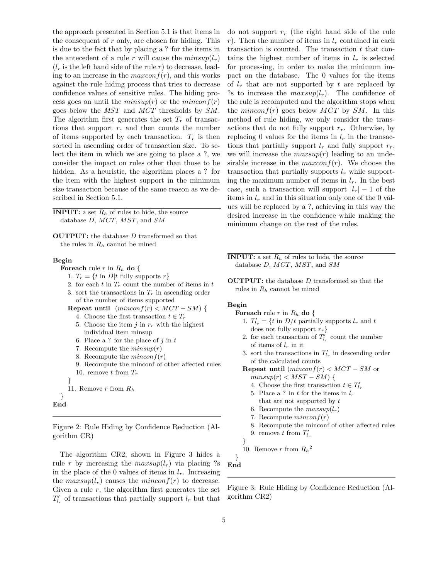the approach presented in Section 5.1 is that items in the consequent of  $r$  only, are chosen for hiding. This is due to the fact that by placing a ? for the items in the antecedent of a rule r will cause the  $minsup(l_r)$  $(l_r$  is the left hand side of the rule r) to decrease, leading to an increase in the  $maxconf(r)$ , and this works against the rule hiding process that tries to decrease confidence values of sensitive rules. The hiding process goes on until the  $minsup(r)$  or the  $minconf(r)$ goes below the MST and MCT thresholds by SM. The algorithm first generates the set  $T_r$  of transactions that support  $r$ , and then counts the number of items supported by each transaction.  $T_r$  is then sorted in ascending order of transaction size. To select the item in which we are going to place a ?, we consider the impact on rules other than those to be hidden. As a heuristic, the algorithm places a ? for the item with the highest support in the minimum size transaction because of the same reason as we described in Section 5.1.

**INPUT:** a set  $R_h$  of rules to hide, the source database  $D, MCT, MST,$  and  $SM$ 

OUTPUT: the database D transformed so that the rules in  $R_h$  cannot be mined

#### Begin

**Foreach** rule r in  $R_h$  do {

1.  $T_r = \{t \text{ in } D | t \text{ fully supports } r\}$ 

- 2. for each  $t$  in  $T_r$  count the number of items in  $t$
- 3. sort the transactions in  $T_r$  in ascending order of the number of items supported
- Repeat until  $(minconf(r) < MCT SM)$  { 4. Choose the first transaction  $t \in T_r$ 
	- 5. Choose the item j in  $r_r$  with the highest individual item minsup
	- 6. Place a ? for the place of  $j$  in  $t$
	- 7. Recompute the  $minsup(r)$
	- 8. Recompute the  $minconf(r)$
	- 9. Recompute the minconf of other affected rules
- 10. remove t from  $T_r$
- } 11. Remove  $r$  from  $R_h$
- 

```
}
End
```
Figure 2: Rule Hiding by Confidence Reduction (Algorithm CR)

The algorithm CR2, shown in Figure 3 hides a rule r by increasing the  $maxsup(l_r)$  via placing ?s in the place of the 0 values of items in  $l_r$ . Increasing the  $maxsup(l_r)$  causes the mincon  $f(r)$  to decrease. Given a rule  $r$ , the algorithm first generates the set  $T'_{l_r}$  of transactions that partially support  $l_r$  but that

do not support  $r_r$  (the right hand side of the rule r). Then the number of items in  $l_r$  contained in each transaction is counted. The transaction  $t$  that contains the highest number of items in  $l_r$  is selected for processing, in order to make the minimum impact on the database. The 0 values for the items of  $l_r$  that are not supported by t are replaced by ?s to increase the  $maxsup(l_r)$ . The confidence of the rule is recomputed and the algorithm stops when the *minconf(r)* goes below  $MCT$  by  $SM$ . In this method of rule hiding, we only consider the transactions that do not fully support  $r_r$ . Otherwise, by replacing 0 values for the items in  $l_r$  in the transactions that partially support  $l_r$  and fully support  $r_r$ , we will increase the  $maxsup(r)$  leading to an undesirable increase in the  $maxconf(r)$ . We choose the transaction that partially supports  $l_r$  while supporting the maximum number of items in  $l_r$ . In the best case, such a transaction will support  $|l_r| - 1$  of the items in  $l_r$  and in this situation only one of the 0 values will be replaced by a ?, achieving in this way the desired increase in the confidence while making the minimum change on the rest of the rules.

**INPUT:** a set  $R_h$  of rules to hide, the source database D, MCT, MST, and SM

OUTPUT: the database D transformed so that the rules in  $R_h$  cannot be mined

#### Begin

- Foreach rule  $r$  in  $R_h$  do {
	- 1.  $T'_{l_r} = \{t \text{ in } D/t \text{ partially supports } l_r \text{ and } t$ does not fully support  $r_r$
	- 2. for each transaction of  $T'_{l_r}$  count the number of items of  $l_r$  in it
	- 3. sort the transactions in  $T'_{l_r}$  in descending order of the calculated counts
	- Repeat until  $(minconf(r) < MCT SM$  or  $minsup(r) < MST - SM$  {
		- 4. Choose the first transaction  $t \in T'_{l_r}$
		- 5. Place a ? in t for the items in  $l_r$
		- that are not supported by  $t$
		- 6. Recompute the  $maxsup(l_r)$
		- 7. Recompute  $minconf(r)$
		- 8. Recompute the minconf of other affected rules

9. remove 
$$
t
$$
 from  $T'_{l_r}$ 

$$
\}
$$

10. Remove r from  $R_h^2$ 

} End

Figure 3: Rule Hiding by Confidence Reduction (Algorithm CR2)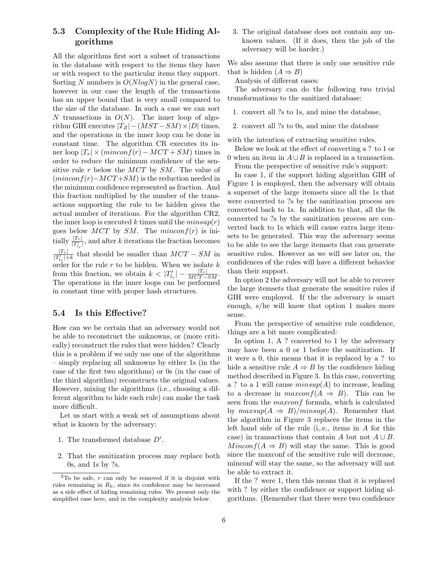### 5.3 Complexity of the Rule Hiding Algorithms

All the algorithms first sort a subset of transactions in the database with respect to the items they have or with respect to the particular items they support. Sorting N numbers is  $O(N \log N)$  in the general case, however in our case the length of the transactions has an upper bound that is very small compared to the size of the database. In such a case we can sort N transactions in  $O(N)$ . The inner loop of algorithm GIH executes  $|T_Z| - (MST - SM) \times |D|$  times, and the operations in the inner loop can be done in constant time. The algorithm CR executes its inner loop  $|T_r| \times (minconf(r) - MCT + SM)$  times in order to reduce the minimum confidence of the sensitive rule r below the MCT by SM. The value of  $(minconf(r)-MCT+SM)$  is the reduction needed in the minimum confidence represented as fraction. And this fraction multiplied by the number of the transactions supporting the rule to be hidden gives the actual number of iterations. For the algorithm CR2, the inner loop is executed k times until the  $minsup(r)$ goes below  $MCT$  by SM. The mincon $f(r)$  is initially  $\frac{|T_r|}{|T'_{l_r}|}$ , and after k iterations the fraction becomes  $|T_r|$  $\frac{|I_r|}{|T'_{I_r}|+k}$  that should be smaller than  $MCT-SM$  in order for the rule  $r$  to be hidden. When we isolate  $k$ from this fraction, we obtain  $k < |T'_{l_r}| - \frac{|T_r|}{MCT-SM}$ . The operations in the inner loops can be performed in constant time with proper hash structures.

#### 5.4 Is this Effective?

How can we be certain that an adversary would not be able to reconstruct the unknowns, or (more critically) reconstruct the rules that were hidden? Clearly this is a problem if we only use one of the algorithms – simply replacing all unknowns by either 1s (in the case of the first two algorithms) or 0s (in the case of the third algorithm) reconstructs the original values. However, mixing the algorithms (i.e., choosing a different algorithm to hide each rule) can make the task more difficult.

Let us start with a weak set of assumptions about what is known by the adversary:

- 1. The transformed database  $D'$ .
- 2. That the sanitization process may replace both 0s, and 1s by ?s.

3. The original database does not contain any unknown values. (If it does, then the job of the adversary will be harder.)

We also assume that there is only one sensitive rule that is hidden  $(A \Rightarrow B)$ 

Analysis of different cases:

The adversary can do the following two trivial transformations to the sanitized database:

- 1. convert all ?s to 1s, and mine the database,
- 2. convert all ?s to 0s, and mine the database

with the intention of extracting sensitive rules.

Below we look at the effect of converting a ? to 1 or 0 when an item in  $A \cup B$  is replaced in a transaction.

From the perspective of sensitive rule's support:

In case 1, if the support hiding algorithm GIH of Figure 1 is employed, then the adversary will obtain a superset of the large itemsets since all the 1s that were converted to ?s by the sanitization process are converted back to 1s. In addition to that, all the 0s converted to ?s by the sanitization process are converted back to 1s which will cause extra large itemsets to be generated. This way the adversary seems to be able to see the large itemsets that can generate sensitive rules. However as we will see later on, the confidences of the rules will have a different behavior than their support.

In option 2 the adversary will not be able to recover the large itemsets that generate the sensitive rules if GIH were employed. If the the adversary is smart enough, s/he will know that option 1 makes more sense.

From the perspective of sensitive rule confidence, things are a bit more complicated:

In option 1, A ? converted to 1 by the adversary may have been a 0 or 1 before the sanitization. If it were a 0, this means that it is replaced by a ? to hide a sensitive rule  $A \Rightarrow B$  by the confidence hiding method described in Figure 3. In this case, converting a ? to a 1 will cause  $minsup(A)$  to increase, leading to a decrease in  $maxconf(A \Rightarrow B)$ . This can be seen from the *maxconf* formula, which is calculated by  $maxsup(A \Rightarrow B)/minsup(A)$ . Remember that the algorithm in Figure 3 replaces the items in the left hand side of the rule (i,.e., items in A for this case) in transactions that contain A but not  $A \cup B$ .  $Minconf(A \Rightarrow B)$  will stay the same. This is good since the maxconf of the sensitive rule will decrease, minconf will stay the same, so the adversary will not be able to extract it.

If the ? were 1, then this means that it is replaced with ? by either the confidence or support hiding algorithms. (Remember that there were two confidence

 $2$ To be safe, r can only be removed if it is disjoint with rules remaining in  $R_h$ , since its confidence may be increased as a side effect of hiding remaining rules. We present only the simplified case here, and in the complexity analysis below.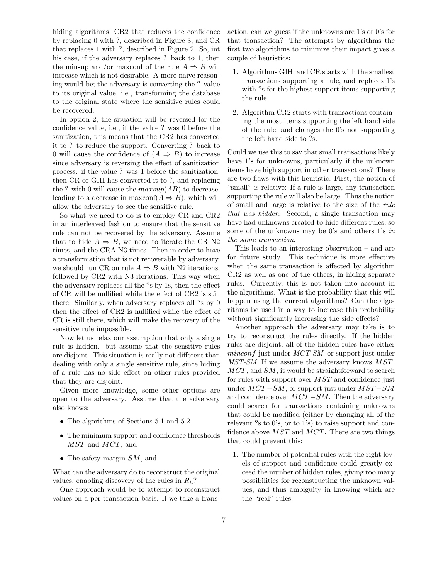hiding algorithms, CR2 that reduces the confidence by replacing 0 with ?, described in Figure 3, and CR that replaces 1 with ?, described in Figure 2. So, int his case, if the adversary replaces ? back to 1, then the minsup and/or maxconf of the rule  $A \Rightarrow B$  will increase which is not desirable. A more naive reasoning would be; the adversary is converting the ? value to its original value, i.e., transforming the database to the original state where the sensitive rules could be recovered.

In option 2, the situation will be reversed for the confidence value, i.e., if the value ? was 0 before the sanitization, this means that the CR2 has converted it to ? to reduce the support. Converting ? back to 0 will cause the confidence of  $(A \Rightarrow B)$  to increase since adversary is reversing the effect of sanitization process. if the value ? was 1 before the sanitization, then CR or GIH has converted it to ?, and replacing the ? with 0 will cause the  $maxsup(AB)$  to decrease, leading to a decrease in maxconf( $A \Rightarrow B$ ), which will allow the adversary to see the sensitive rule.

So what we need to do is to employ CR and CR2 in an interleaved fashion to ensure that the sensitive rule can not be recovered by the adversary. Assume that to hide  $A \Rightarrow B$ , we need to iterate the CR N2 times, and the CRA N3 times. Then in order to have a transformation that is not recoverable by adversary, we should run CR on rule  $A \Rightarrow B$  with N2 iterations, followed by CR2 with N3 iterations. This way when the adversary replaces all the ?s by 1s, then the effect of CR will be nullified while the effect of CR2 is still there. Similarly, when adversary replaces all ?s by 0 then the effect of CR2 is nullified while the effect of CR is still there, which will make the recovery of the sensitive rule impossible.

Now let us relax our assumption that only a single rule is hidden. but assume that the sensitive rules are disjoint. This situation is really not different than dealing with only a single sensitive rule, since hiding of a rule has no side effect on other rules provided that they are disjoint.

Given more knowledge, some other options are open to the adversary. Assume that the adversary also knows:

- The algorithms of Sections 5.1 and 5.2.
- The minimum support and confidence thresholds MST and MCT, and
- The safety margin  $SM$ , and

What can the adversary do to reconstruct the original values, enabling discovery of the rules in  $R_h$ ?

One approach would be to attempt to reconstruct values on a per-transaction basis. If we take a transaction, can we guess if the unknowns are 1's or 0's for that transaction? The attempts by algorithms the first two algorithms to minimize their impact gives a couple of heuristics:

- 1. Algorithms GIH, and CR starts with the smallest transactions supporting a rule, and replaces 1's with ?s for the highest support items supporting the rule.
- 2. Algorithm CR2 starts with transactions containing the most items supporting the left hand side of the rule, and changes the 0's not supporting the left hand side to ?s.

Could we use this to say that small transactions likely have 1's for unknowns, particularly if the unknown items have high support in other transactions? There are two flaws with this heuristic. First, the notion of "small" is relative: If a rule is large, any transaction supporting the rule will also be large. Thus the notion of small and large is relative to the size of the rule that was hidden. Second, a single transaction may have had unknowns created to hide different rules, so some of the unknowns may be 0's and others 1's in the same transaction.

This leads to an interesting observation – and are for future study. This technique is more effective when the same transaction is affected by algorithm CR2 as well as one of the others, in hiding separate rules. Currently, this is not taken into account in the algorithms. What is the probability that this will happen using the current algorithms? Can the algorithms be used in a way to increase this probability without significantly increasing the side effects?

Another approach the adversary may take is to try to reconstruct the rules directly. If the hidden rules are disjoint, all of the hidden rules have either minconf just under MCT-SM, or support just under MST-SM. If we assume the adversary knows MST, MCT, and SM, it would be straightforward to search for rules with support over MST and confidence just under  $MCT-SM$ , or support just under  $MST-SM$ and confidence over  $MCT-SM$ . Then the adversary could search for transactions containing unknowns that could be modified (either by changing all of the relevant ?s to 0's, or to 1's) to raise support and confidence above  $MST$  and  $MCT$ . There are two things that could prevent this:

1. The number of potential rules with the right levels of support and confidence could greatly exceed the number of hidden rules, giving too many possibilities for reconstructing the unknown values, and thus ambiguity in knowing which are the "real" rules.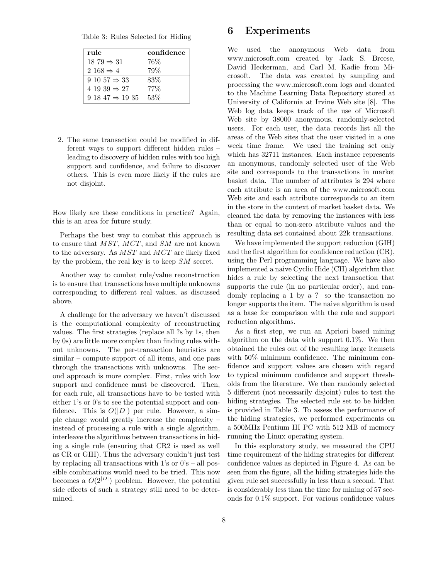Table 3: Rules Selected for Hiding

| rule                     | confidence |
|--------------------------|------------|
| $18\ 79 \Rightarrow 31$  | $76\%$     |
| $2168 \Rightarrow 4$     | 79%        |
| $9 10 57 \Rightarrow 33$ | 83\%       |
| 4 19 39 $\Rightarrow$ 27 | $77\%$     |
| $91847 \Rightarrow 1935$ | $53\%$     |

2. The same transaction could be modified in different ways to support different hidden rules – leading to discovery of hidden rules with too high support and confidence, and failure to discover others. This is even more likely if the rules are not disjoint.

How likely are these conditions in practice? Again, this is an area for future study.

Perhaps the best way to combat this approach is to ensure that MST, MCT, and SM are not known to the adversary. As MST and MCT are likely fixed by the problem, the real key is to keep SM secret.

Another way to combat rule/value reconstruction is to ensure that transactions have multiple unknowns corresponding to different real values, as discussed above.

A challenge for the adversary we haven't discussed is the computational complexity of reconstructing values. The first strategies (replace all ?s by 1s, then by 0s) are little more complex than finding rules without unknowns. The per-transaction heuristics are similar – compute support of all items, and one pass through the transactions with unknowns. The second approach is more complex. First, rules with low support and confidence must be discovered. Then, for each rule, all transactions have to be tested with either 1's or 0's to see the potential support and confidence. This is  $O(|D|)$  per rule. However, a simple change would greatly increase the complexity – instead of processing a rule with a single algorithm, interleave the algorithms between transactions in hiding a single rule (ensuring that CR2 is used as well as CR or GIH). Thus the adversary couldn't just test by replacing all transactions with  $1$ 's or  $0$ 's – all possible combinations would need to be tried. This now becomes a  $O(2^{|D|})$  problem. However, the potential side effects of such a strategy still need to be determined.

### 6 Experiments

We used the anonymous Web data from www.microsoft.com created by Jack S. Breese, David Heckerman, and Carl M. Kadie from Microsoft. The data was created by sampling and processing the www.microsoft.com logs and donated to the Machine Learning Data Repository stored at University of California at Irvine Web site [8]. The Web log data keeps track of the use of Microsoft Web site by 38000 anonymous, randomly-selected users. For each user, the data records list all the areas of the Web sites that the user visited in a one week time frame. We used the training set only which has 32711 instances. Each instance represents an anonymous, randomly selected user of the Web site and corresponds to the transactions in market basket data. The number of attributes is 294 where each attribute is an area of the www.microsoft.com Web site and each attribute corresponds to an item in the store in the context of market basket data. We cleaned the data by removing the instances with less than or equal to non-zero attribute values and the resulting data set contained about 22k transactions.

We have implemented the support reduction (GIH) and the first algorithm for confidence reduction (CR), using the Perl programming language. We have also implemented a naive Cyclic Hide (CH) algorithm that hides a rule by selecting the next transaction that supports the rule (in no particular order), and randomly replacing a 1 by a ? so the transaction no longer supports the item. The naive algorithm is used as a base for comparison with the rule and support reduction algorithms.

As a first step, we run an Apriori based mining algorithm on the data with support 0.1%. We then obtained the rules out of the resulting large itemsets with 50% minimum confidence. The minimum confidence and support values are chosen with regard to typical minimum confidence and support thresholds from the literature. We then randomly selected 5 different (not necessarily disjoint) rules to test the hiding strategies. The selected rule set to be hidden is provided in Table 3. To assess the performance of the hiding strategies, we performed experiments on a 500MHz Pentium III PC with 512 MB of memory running the Linux operating system.

In this exploratory study, we measured the CPU time requirement of the hiding strategies for different confidence values as depicted in Figure 4. As can be seen from the figure, all the hiding strategies hide the given rule set successfully in less than a second. That is considerably less than the time for mining of 57 seconds for 0.1% support. For various confidence values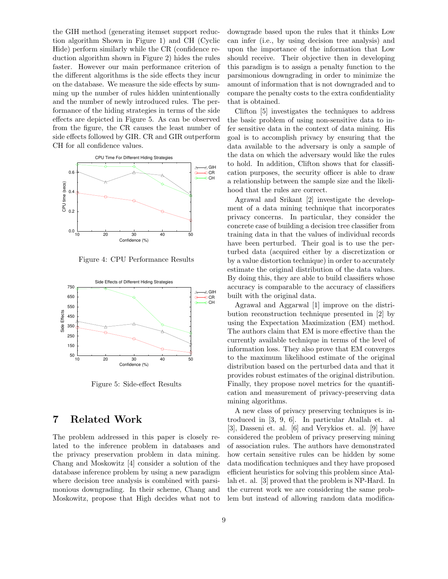the GIH method (generating itemset support reduction algorithm Shown in Figure 1) and CH (Cyclic Hide) perform similarly while the CR (confidence reduction algorithm shown in Figure 2) hides the rules faster. However our main performance criterion of the different algorithms is the side effects they incur on the database. We measure the side effects by summing up the number of rules hidden unintentionally and the number of newly introduced rules. The performance of the hiding strategies in terms of the side effects are depicted in Figure 5. As can be observed from the figure, the CR causes the least number of side effects followed by GIR. CR and GIR outperform CH for all confidence values.



Figure 4: CPU Performance Results



Figure 5: Side-effect Results

# 7 Related Work

The problem addressed in this paper is closely related to the inference problem in databases and the privacy preservation problem in data mining. Chang and Moskowitz [4] consider a solution of the database inference problem by using a new paradigm where decision tree analysis is combined with parsimonious downgrading. In their scheme, Chang and Moskowitz, propose that High decides what not to downgrade based upon the rules that it thinks Low can infer (i.e., by using decision tree analysis) and upon the importance of the information that Low should receive. Their objective then in developing this paradigm is to assign a penalty function to the parsimonious downgrading in order to minimize the amount of information that is not downgraded and to compare the penalty costs to the extra confidentiality that is obtained.

Clifton [5] investigates the techniques to address the basic problem of using non-sensitive data to infer sensitive data in the context of data mining. His goal is to accomplish privacy by ensuring that the data available to the adversary is only a sample of the data on which the adversary would like the rules to hold. In addition, Clifton shows that for classification purposes, the security officer is able to draw a relationship between the sample size and the likelihood that the rules are correct.

Agrawal and Srikant [2] investigate the development of a data mining technique that incorporates privacy concerns. In particular, they consider the concrete case of building a decision tree classifier from training data in that the values of individual records have been perturbed. Their goal is to use the perturbed data (acquired either by a discretization or by a value distortion technique) in order to accurately estimate the original distribution of the data values. By doing this, they are able to build classifiers whose accuracy is comparable to the accuracy of classifiers built with the original data.

Agrawal and Aggarwal [1] improve on the distribution reconstruction technique presented in [2] by using the Expectation Maximization (EM) method. The authors claim that EM is more effective than the currently available technique in terms of the level of information loss. They also prove that EM converges to the maximum likelihood estimate of the original distribution based on the perturbed data and that it provides robust estimates of the original distribution. Finally, they propose novel metrics for the quantification and measurement of privacy-preserving data mining algorithms.

A new class of privacy preserving techniques is introduced in [3, 9, 6]. In particular Atallah et. al [3], Dasseni et. al. [6] and Verykios et. al. [9] have considered the problem of privacy preserving mining of association rules. The authors have demonstrated how certain sensitive rules can be hidden by some data modification techniques and they have proposed efficient heuristics for solving this problem since Atallah et. al. [3] proved that the problem is NP-Hard. In the current work we are considering the same problem but instead of allowing random data modifica